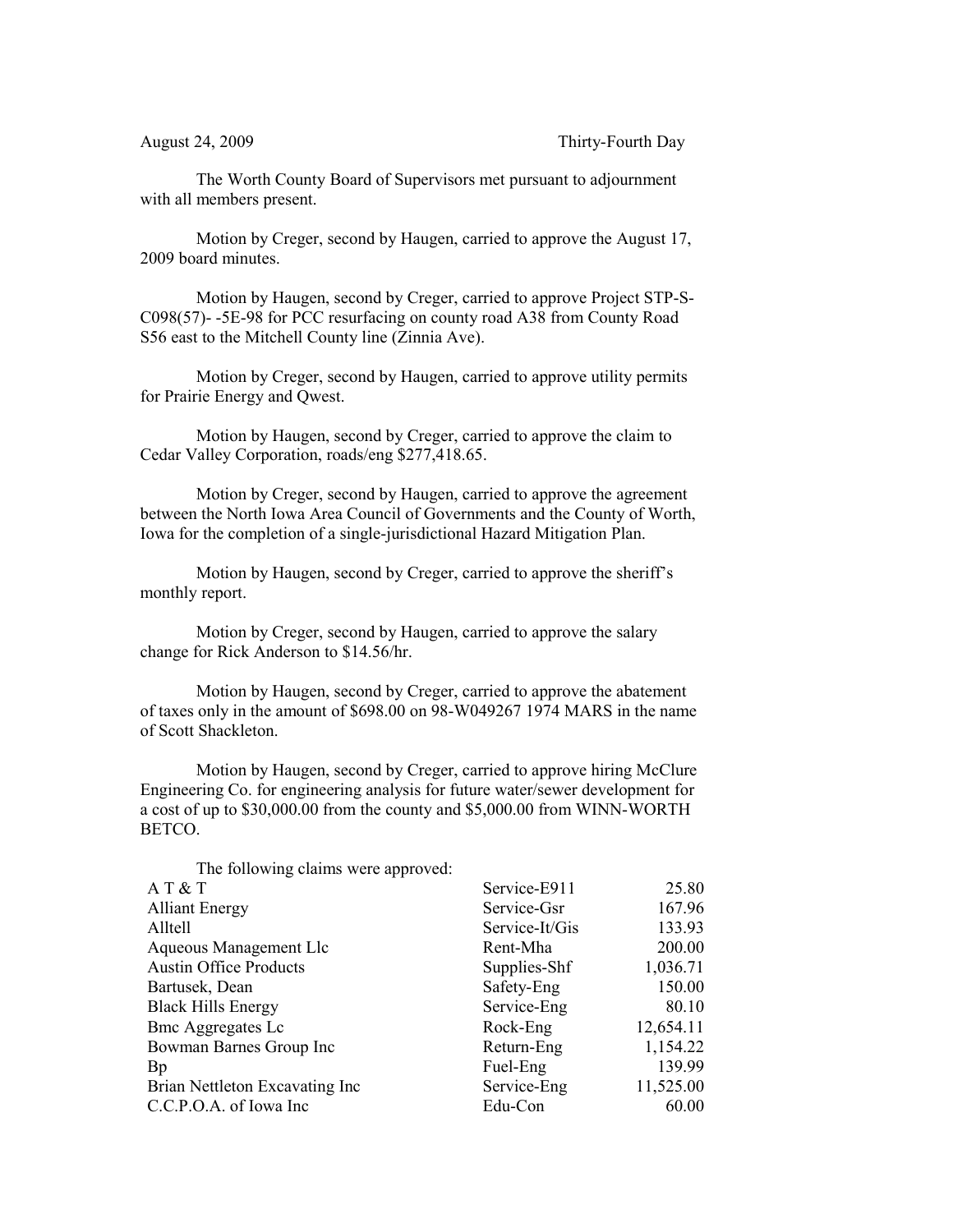The Worth County Board of Supervisors met pursuant to adjournment with all members present.

Motion by Creger, second by Haugen, carried to approve the August 17, 2009 board minutes.

Motion by Haugen, second by Creger, carried to approve Project STP-S-C098(57)- -5E-98 for PCC resurfacing on county road A38 from County Road S56 east to the Mitchell County line (Zinnia Ave).

Motion by Creger, second by Haugen, carried to approve utility permits for Prairie Energy and Qwest.

Motion by Haugen, second by Creger, carried to approve the claim to Cedar Valley Corporation, roads/eng \$277,418.65.

Motion by Creger, second by Haugen, carried to approve the agreement between the North Iowa Area Council of Governments and the County of Worth, Iowa for the completion of a single-jurisdictional Hazard Mitigation Plan.

Motion by Haugen, second by Creger, carried to approve the sheriff's monthly report.

Motion by Creger, second by Haugen, carried to approve the salary change for Rick Anderson to \$14.56/hr.

Motion by Haugen, second by Creger, carried to approve the abatement of taxes only in the amount of \$698.00 on 98-W049267 1974 MARS in the name of Scott Shackleton.

Motion by Haugen, second by Creger, carried to approve hiring McClure Engineering Co. for engineering analysis for future water/sewer development for a cost of up to \$30,000.00 from the county and \$5,000.00 from WINN-WORTH BETCO.

| The following claims were approved: |                |           |
|-------------------------------------|----------------|-----------|
| AT & T                              | Service-E911   | 25.80     |
| <b>Alliant Energy</b>               | Service-Gsr    | 167.96    |
| Alltell                             | Service-It/Gis | 133.93    |
| Aqueous Management Llc              | Rent-Mha       | 200.00    |
| <b>Austin Office Products</b>       | Supplies-Shf   | 1,036.71  |
| Bartusek, Dean                      | Safety-Eng     | 150.00    |
| <b>Black Hills Energy</b>           | Service-Eng    | 80.10     |
| <b>Bmc Aggregates Lc</b>            | Rock-Eng       | 12,654.11 |
| Bowman Barnes Group Inc             | Return-Eng     | 1,154.22  |
| Bp                                  | Fuel-Eng       | 139.99    |
| Brian Nettleton Excavating Inc      | Service-Eng    | 11,525.00 |
| C.C.P.O.A. of Iowa Inc              | Edu-Con        | 60.00     |
|                                     |                |           |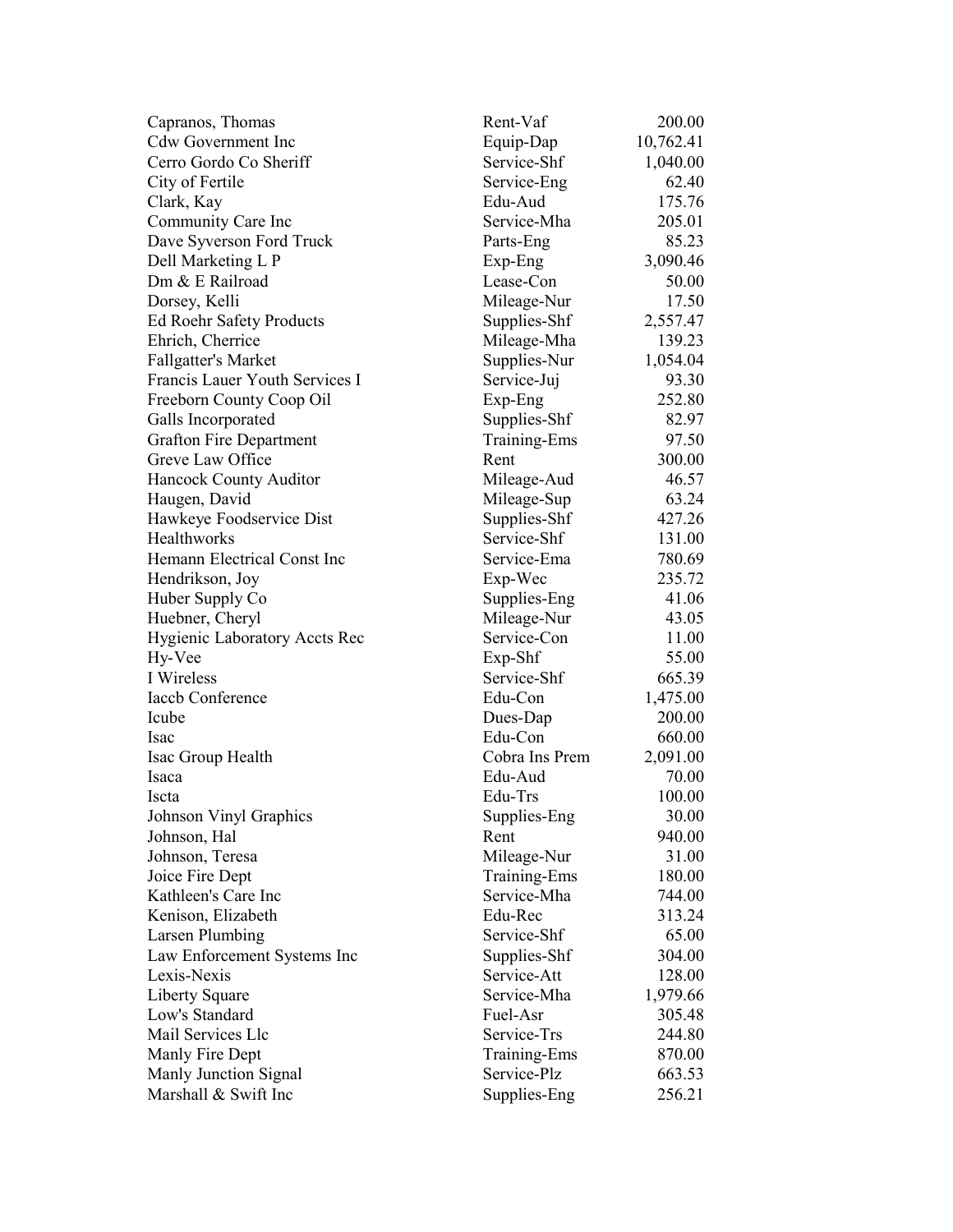| Capranos, Thomas                     | Rent-Vaf       | 200.00    |
|--------------------------------------|----------------|-----------|
| <b>Cdw Government Inc</b>            | Equip-Dap      | 10,762.41 |
| Cerro Gordo Co Sheriff               | Service-Shf    | 1,040.00  |
| City of Fertile                      | Service-Eng    | 62.40     |
| Clark, Kay                           | Edu-Aud        | 175.76    |
| Community Care Inc                   | Service-Mha    | 205.01    |
| Dave Syverson Ford Truck             | Parts-Eng      | 85.23     |
| Dell Marketing L P                   | Exp-Eng        | 3,090.46  |
| Dm & E Railroad                      | Lease-Con      | 50.00     |
| Dorsey, Kelli                        | Mileage-Nur    | 17.50     |
| <b>Ed Roehr Safety Products</b>      | Supplies-Shf   | 2,557.47  |
| Ehrich, Cherrice                     | Mileage-Mha    | 139.23    |
| <b>Fallgatter's Market</b>           | Supplies-Nur   | 1,054.04  |
| Francis Lauer Youth Services I       | Service-Juj    | 93.30     |
| Freeborn County Coop Oil             | Exp-Eng        | 252.80    |
| Galls Incorporated                   | Supplies-Shf   | 82.97     |
| <b>Grafton Fire Department</b>       | Training-Ems   | 97.50     |
| Greve Law Office                     | Rent           | 300.00    |
| Hancock County Auditor               | Mileage-Aud    | 46.57     |
| Haugen, David                        | Mileage-Sup    | 63.24     |
| Hawkeye Foodservice Dist             | Supplies-Shf   | 427.26    |
| <b>Healthworks</b>                   | Service-Shf    | 131.00    |
| Hemann Electrical Const Inc          | Service-Ema    | 780.69    |
| Hendrikson, Joy                      | Exp-Wec        | 235.72    |
| Huber Supply Co                      | Supplies-Eng   | 41.06     |
| Huebner, Cheryl                      | Mileage-Nur    | 43.05     |
| <b>Hygienic Laboratory Accts Rec</b> | Service-Con    | 11.00     |
| Hy-Vee                               | Exp-Shf        | 55.00     |
| I Wireless                           | Service-Shf    | 665.39    |
| <b>Iaccb Conference</b>              | Edu-Con        | 1,475.00  |
| Icube                                | Dues-Dap       | 200.00    |
| Isac                                 | Edu-Con        | 660.00    |
| Isac Group Health                    | Cobra Ins Prem | 2,091.00  |
| Isaca                                | Edu-Aud        | 70.00     |
| Iscta                                | Edu-Trs        | 100.00    |
| Johnson Vinyl Graphics               | Supplies-Eng   | 30.00     |
| Johnson, Hal                         | Rent           | 940.00    |
| Johnson, Teresa                      | Mileage-Nur    | 31.00     |
| Joice Fire Dept                      | Training-Ems   | 180.00    |
| Kathleen's Care Inc                  | Service-Mha    | 744.00    |
| Kenison, Elizabeth                   | Edu-Rec        | 313.24    |
| <b>Larsen Plumbing</b>               | Service-Shf    | 65.00     |
| Law Enforcement Systems Inc          | Supplies-Shf   | 304.00    |
| Lexis-Nexis                          | Service-Att    | 128.00    |
| Liberty Square                       | Service-Mha    | 1,979.66  |
| Low's Standard                       | Fuel-Asr       | 305.48    |
| Mail Services Llc                    | Service-Trs    | 244.80    |
| Manly Fire Dept                      | Training-Ems   | 870.00    |
| Manly Junction Signal                | Service-Plz    | 663.53    |
| Marshall & Swift Inc                 | Supplies-Eng   | 256.21    |
|                                      |                |           |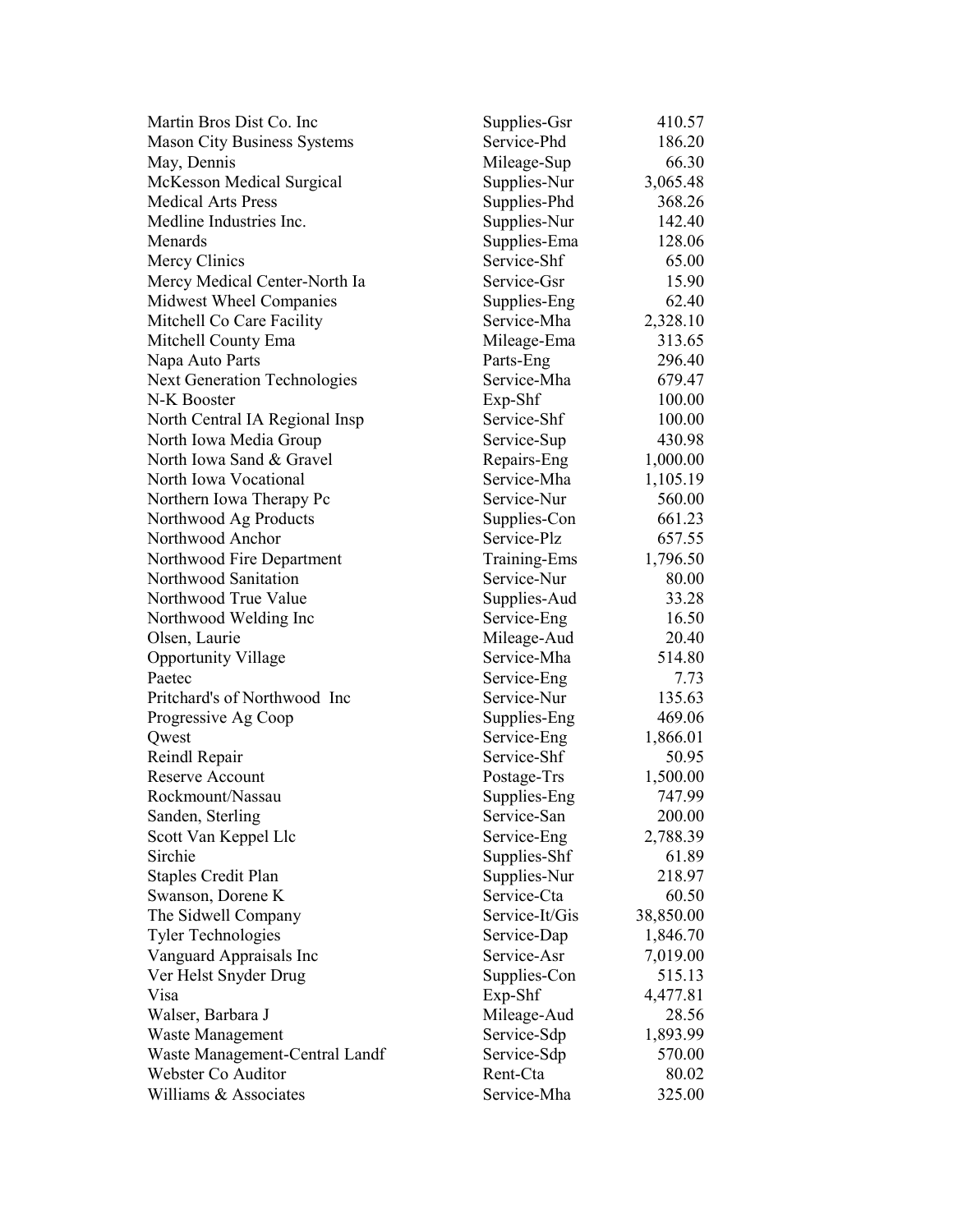| Martin Bros Dist Co. Inc            | Supplies-Gsr   | 410.57    |
|-------------------------------------|----------------|-----------|
| <b>Mason City Business Systems</b>  | Service-Phd    | 186.20    |
| May, Dennis                         | Mileage-Sup    | 66.30     |
| McKesson Medical Surgical           | Supplies-Nur   | 3,065.48  |
| <b>Medical Arts Press</b>           | Supplies-Phd   | 368.26    |
| Medline Industries Inc.             | Supplies-Nur   | 142.40    |
| Menards                             | Supplies-Ema   | 128.06    |
| Mercy Clinics                       | Service-Shf    | 65.00     |
| Mercy Medical Center-North Ia       | Service-Gsr    | 15.90     |
| Midwest Wheel Companies             | Supplies-Eng   | 62.40     |
| Mitchell Co Care Facility           | Service-Mha    | 2,328.10  |
| Mitchell County Ema                 | Mileage-Ema    | 313.65    |
| Napa Auto Parts                     | Parts-Eng      | 296.40    |
| <b>Next Generation Technologies</b> | Service-Mha    | 679.47    |
| N-K Booster                         | Exp-Shf        | 100.00    |
| North Central IA Regional Insp      | Service-Shf    | 100.00    |
| North Iowa Media Group              | Service-Sup    | 430.98    |
| North Iowa Sand & Gravel            | Repairs-Eng    | 1,000.00  |
| North Iowa Vocational               | Service-Mha    | 1,105.19  |
| Northern Iowa Therapy Pc            | Service-Nur    | 560.00    |
| Northwood Ag Products               | Supplies-Con   | 661.23    |
| Northwood Anchor                    | Service-Plz    | 657.55    |
| Northwood Fire Department           | Training-Ems   | 1,796.50  |
| Northwood Sanitation                | Service-Nur    | 80.00     |
| Northwood True Value                | Supplies-Aud   | 33.28     |
| Northwood Welding Inc               | Service-Eng    | 16.50     |
| Olsen, Laurie                       | Mileage-Aud    | 20.40     |
| <b>Opportunity Village</b>          | Service-Mha    | 514.80    |
| Paetec                              | Service-Eng    | 7.73      |
| Pritchard's of Northwood Inc        | Service-Nur    | 135.63    |
| Progressive Ag Coop                 | Supplies-Eng   | 469.06    |
| Qwest                               | Service-Eng    | 1,866.01  |
| Reindl Repair                       | Service-Shf    | 50.95     |
| <b>Reserve Account</b>              | Postage-Trs    | 1,500.00  |
| Rockmount/Nassau                    | Supplies-Eng   | 747.99    |
| Sanden, Sterling                    | Service-San    | 200.00    |
| Scott Van Keppel Llc                | Service-Eng    | 2,788.39  |
| Sirchie                             | Supplies-Shf   | 61.89     |
| <b>Staples Credit Plan</b>          | Supplies-Nur   | 218.97    |
| Swanson, Dorene K                   | Service-Cta    | 60.50     |
| The Sidwell Company                 | Service-It/Gis | 38,850.00 |
| <b>Tyler Technologies</b>           | Service-Dap    | 1,846.70  |
| Vanguard Appraisals Inc             | Service-Asr    | 7,019.00  |
| Ver Helst Snyder Drug               | Supplies-Con   | 515.13    |
| Visa                                | $Exp-Shf$      | 4,477.81  |
| Walser, Barbara J                   | Mileage-Aud    | 28.56     |
| Waste Management                    | Service-Sdp    | 1,893.99  |
| Waste Management-Central Landf      | Service-Sdp    | 570.00    |
| Webster Co Auditor                  | Rent-Cta       | 80.02     |
| Williams & Associates               | Service-Mha    | 325.00    |